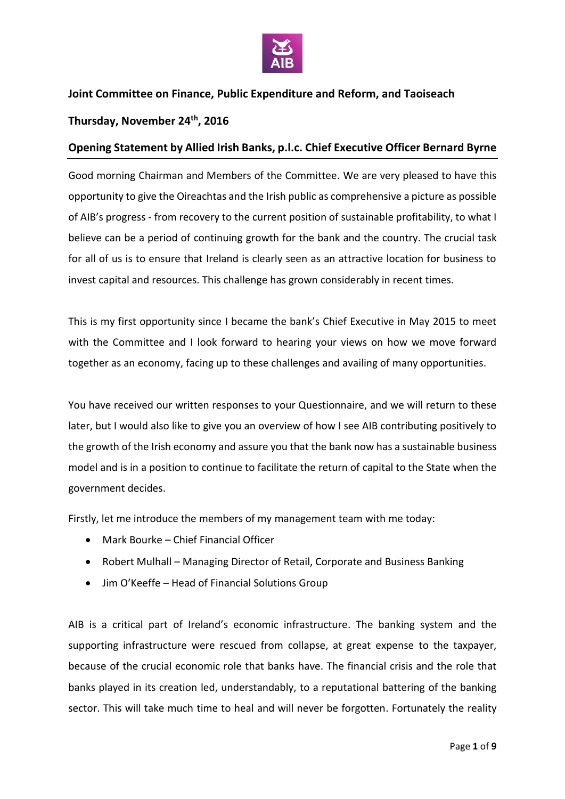

## **Joint Committee on Finance, Public Expenditure and Reform, and Taoiseach**

## **Thursday, November 24th, 2016**

## **Opening Statement by Allied Irish Banks, p.l.c. Chief Executive Officer Bernard Byrne**

Good morning Chairman and Members of the Committee. We are very pleased to have this opportunity to give the Oireachtas and the Irish public as comprehensive a picture as possible of AIB's progress - from recovery to the current position of sustainable profitability, to what I believe can be a period of continuing growth for the bank and the country. The crucial task for all of us is to ensure that Ireland is clearly seen as an attractive location for business to invest capital and resources. This challenge has grown considerably in recent times.

This is my first opportunity since I became the bank's Chief Executive in May 2015 to meet with the Committee and I look forward to hearing your views on how we move forward together as an economy, facing up to these challenges and availing of many opportunities.

You have received our written responses to your Questionnaire, and we will return to these later, but I would also like to give you an overview of how I see AIB contributing positively to the growth of the Irish economy and assure you that the bank now has a sustainable business model and is in a position to continue to facilitate the return of capital to the State when the government decides.

Firstly, let me introduce the members of my management team with me today:

- Mark Bourke Chief Financial Officer
- Robert Mulhall Managing Director of Retail, Corporate and Business Banking
- Jim O'Keeffe Head of Financial Solutions Group

AIB is a critical part of Ireland's economic infrastructure. The banking system and the supporting infrastructure were rescued from collapse, at great expense to the taxpayer, because of the crucial economic role that banks have. The financial crisis and the role that banks played in its creation led, understandably, to a reputational battering of the banking sector. This will take much time to heal and will never be forgotten. Fortunately the reality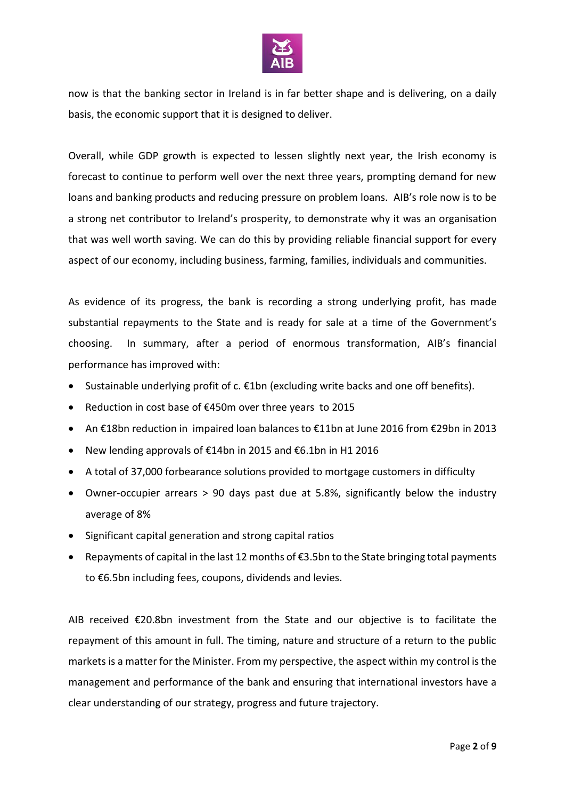

now is that the banking sector in Ireland is in far better shape and is delivering, on a daily basis, the economic support that it is designed to deliver.

Overall, while GDP growth is expected to lessen slightly next year, the Irish economy is forecast to continue to perform well over the next three years, prompting demand for new loans and banking products and reducing pressure on problem loans. AIB's role now is to be a strong net contributor to Ireland's prosperity, to demonstrate why it was an organisation that was well worth saving. We can do this by providing reliable financial support for every aspect of our economy, including business, farming, families, individuals and communities.

As evidence of its progress, the bank is recording a strong underlying profit, has made substantial repayments to the State and is ready for sale at a time of the Government's choosing. In summary, after a period of enormous transformation, AIB's financial performance has improved with:

- Sustainable underlying profit of  $c$ .  $\epsilon$ 1bn (excluding write backs and one off benefits).
- Reduction in cost base of €450m over three years to 2015
- An €18bn reduction in impaired loan balances to €11bn at June 2016 from €29bn in 2013
- New lending approvals of €14bn in 2015 and €6.1bn in H1 2016
- A total of 37,000 forbearance solutions provided to mortgage customers in difficulty
- Owner-occupier arrears > 90 days past due at 5.8%, significantly below the industry average of 8%
- Significant capital generation and strong capital ratios
- Repayments of capital in the last 12 months of €3.5bn to the State bringing total payments to €6.5bn including fees, coupons, dividends and levies.

AIB received €20.8bn investment from the State and our objective is to facilitate the repayment of this amount in full. The timing, nature and structure of a return to the public markets is a matter for the Minister. From my perspective, the aspect within my control is the management and performance of the bank and ensuring that international investors have a clear understanding of our strategy, progress and future trajectory.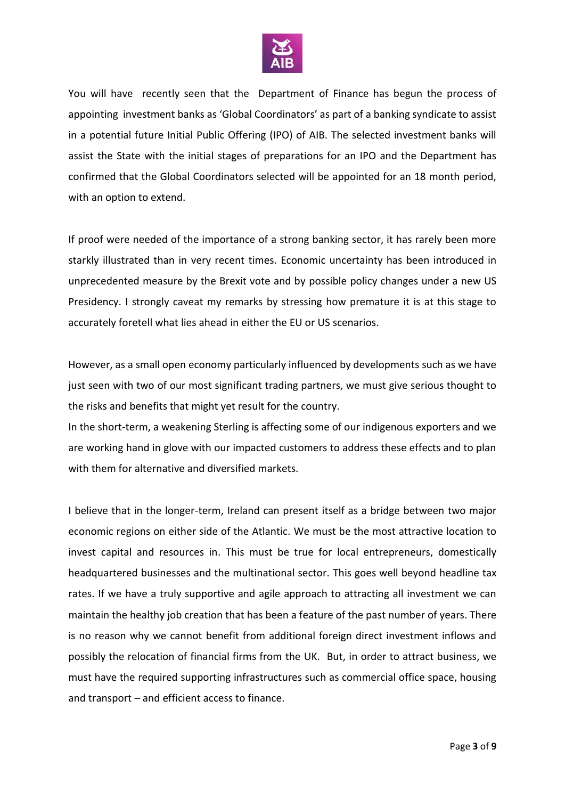

You will have recently seen that the Department of Finance has begun the process of appointing investment banks as 'Global Coordinators' as part of a banking syndicate to assist in a potential future Initial Public Offering (IPO) of AIB. The selected investment banks will assist the State with the initial stages of preparations for an IPO and the Department has confirmed that the Global Coordinators selected will be appointed for an 18 month period, with an option to extend.

If proof were needed of the importance of a strong banking sector, it has rarely been more starkly illustrated than in very recent times. Economic uncertainty has been introduced in unprecedented measure by the Brexit vote and by possible policy changes under a new US Presidency. I strongly caveat my remarks by stressing how premature it is at this stage to accurately foretell what lies ahead in either the EU or US scenarios.

However, as a small open economy particularly influenced by developments such as we have just seen with two of our most significant trading partners, we must give serious thought to the risks and benefits that might yet result for the country.

In the short-term, a weakening Sterling is affecting some of our indigenous exporters and we are working hand in glove with our impacted customers to address these effects and to plan with them for alternative and diversified markets.

I believe that in the longer-term, Ireland can present itself as a bridge between two major economic regions on either side of the Atlantic. We must be the most attractive location to invest capital and resources in. This must be true for local entrepreneurs, domestically headquartered businesses and the multinational sector. This goes well beyond headline tax rates. If we have a truly supportive and agile approach to attracting all investment we can maintain the healthy job creation that has been a feature of the past number of years. There is no reason why we cannot benefit from additional foreign direct investment inflows and possibly the relocation of financial firms from the UK. But, in order to attract business, we must have the required supporting infrastructures such as commercial office space, housing and transport – and efficient access to finance.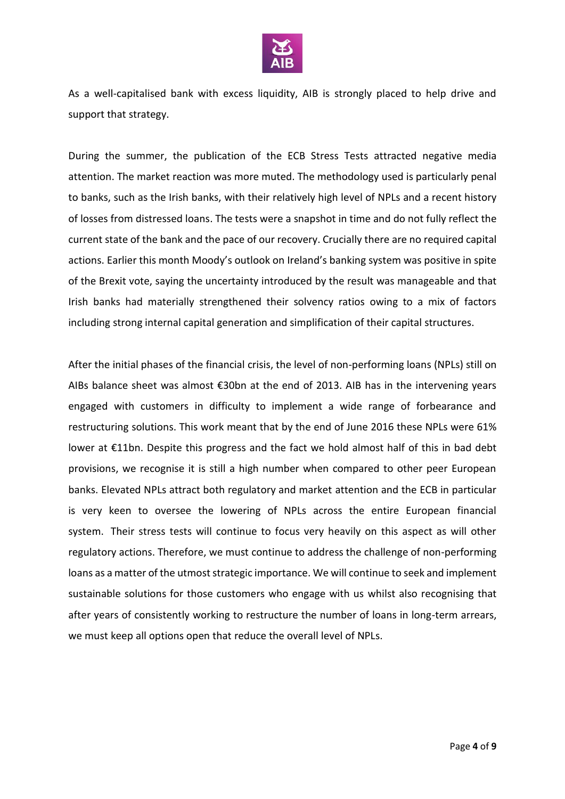

As a well-capitalised bank with excess liquidity, AIB is strongly placed to help drive and support that strategy.

During the summer, the publication of the ECB Stress Tests attracted negative media attention. The market reaction was more muted. The methodology used is particularly penal to banks, such as the Irish banks, with their relatively high level of NPLs and a recent history of losses from distressed loans. The tests were a snapshot in time and do not fully reflect the current state of the bank and the pace of our recovery. Crucially there are no required capital actions. Earlier this month Moody's outlook on Ireland's banking system was positive in spite of the Brexit vote, saying the uncertainty introduced by the result was manageable and that Irish banks had materially strengthened their solvency ratios owing to a mix of factors including strong internal capital generation and simplification of their capital structures.

After the initial phases of the financial crisis, the level of non-performing loans (NPLs) still on AIBs balance sheet was almost €30bn at the end of 2013. AIB has in the intervening years engaged with customers in difficulty to implement a wide range of forbearance and restructuring solutions. This work meant that by the end of June 2016 these NPLs were 61% lower at €11bn. Despite this progress and the fact we hold almost half of this in bad debt provisions, we recognise it is still a high number when compared to other peer European banks. Elevated NPLs attract both regulatory and market attention and the ECB in particular is very keen to oversee the lowering of NPLs across the entire European financial system. Their stress tests will continue to focus very heavily on this aspect as will other regulatory actions. Therefore, we must continue to address the challenge of non-performing loans as a matter of the utmost strategic importance. We will continue to seek and implement sustainable solutions for those customers who engage with us whilst also recognising that after years of consistently working to restructure the number of loans in long-term arrears, we must keep all options open that reduce the overall level of NPLs.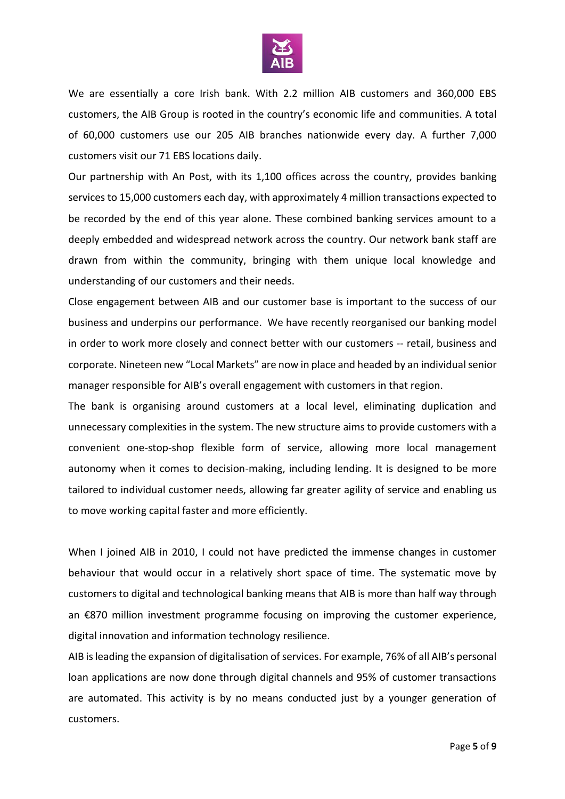

We are essentially a core Irish bank. With 2.2 million AIB customers and 360,000 EBS customers, the AIB Group is rooted in the country's economic life and communities. A total of 60,000 customers use our 205 AIB branches nationwide every day. A further 7,000 customers visit our 71 EBS locations daily.

Our partnership with An Post, with its 1,100 offices across the country, provides banking services to 15,000 customers each day, with approximately 4 million transactions expected to be recorded by the end of this year alone. These combined banking services amount to a deeply embedded and widespread network across the country. Our network bank staff are drawn from within the community, bringing with them unique local knowledge and understanding of our customers and their needs.

Close engagement between AIB and our customer base is important to the success of our business and underpins our performance. We have recently reorganised our banking model in order to work more closely and connect better with our customers -- retail, business and corporate. Nineteen new "Local Markets" are now in place and headed by an individual senior manager responsible for AIB's overall engagement with customers in that region.

The bank is organising around customers at a local level, eliminating duplication and unnecessary complexities in the system. The new structure aims to provide customers with a convenient one-stop-shop flexible form of service, allowing more local management autonomy when it comes to decision-making, including lending. It is designed to be more tailored to individual customer needs, allowing far greater agility of service and enabling us to move working capital faster and more efficiently.

When I joined AIB in 2010, I could not have predicted the immense changes in customer behaviour that would occur in a relatively short space of time. The systematic move by customers to digital and technological banking means that AIB is more than half way through an €870 million investment programme focusing on improving the customer experience, digital innovation and information technology resilience.

AIB is leading the expansion of digitalisation of services. For example, 76% of all AIB's personal loan applications are now done through digital channels and 95% of customer transactions are automated. This activity is by no means conducted just by a younger generation of customers.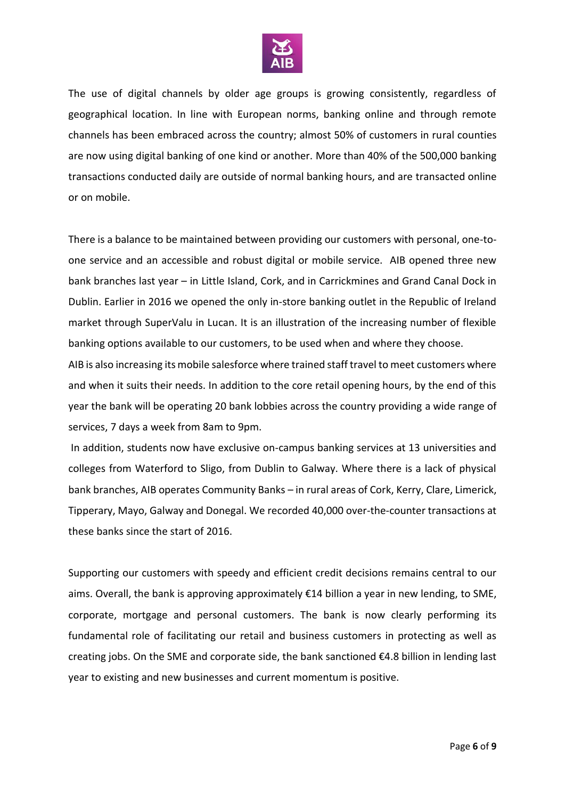

The use of digital channels by older age groups is growing consistently, regardless of geographical location. In line with European norms, banking online and through remote channels has been embraced across the country; almost 50% of customers in rural counties are now using digital banking of one kind or another. More than 40% of the 500,000 banking transactions conducted daily are outside of normal banking hours, and are transacted online or on mobile.

There is a balance to be maintained between providing our customers with personal, one-toone service and an accessible and robust digital or mobile service. AIB opened three new bank branches last year – in Little Island, Cork, and in Carrickmines and Grand Canal Dock in Dublin. Earlier in 2016 we opened the only in-store banking outlet in the Republic of Ireland market through SuperValu in Lucan. It is an illustration of the increasing number of flexible banking options available to our customers, to be used when and where they choose.

AIB is also increasing its mobile salesforce where trained staff travel to meet customers where and when it suits their needs. In addition to the core retail opening hours, by the end of this year the bank will be operating 20 bank lobbies across the country providing a wide range of services, 7 days a week from 8am to 9pm.

In addition, students now have exclusive on-campus banking services at 13 universities and colleges from Waterford to Sligo, from Dublin to Galway. Where there is a lack of physical bank branches, AIB operates Community Banks – in rural areas of Cork, Kerry, Clare, Limerick, Tipperary, Mayo, Galway and Donegal. We recorded 40,000 over-the-counter transactions at these banks since the start of 2016.

Supporting our customers with speedy and efficient credit decisions remains central to our aims. Overall, the bank is approving approximately €14 billion a year in new lending, to SME, corporate, mortgage and personal customers. The bank is now clearly performing its fundamental role of facilitating our retail and business customers in protecting as well as creating jobs. On the SME and corporate side, the bank sanctioned €4.8 billion in lending last year to existing and new businesses and current momentum is positive.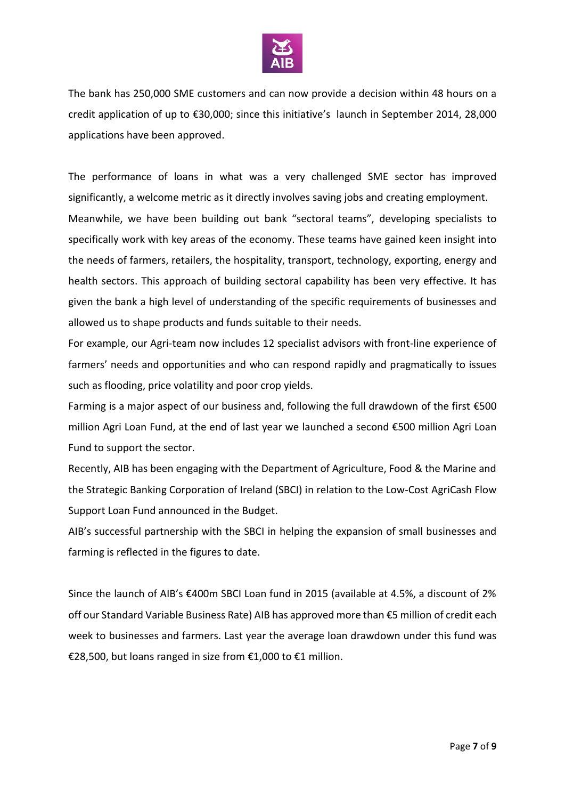

The bank has 250,000 SME customers and can now provide a decision within 48 hours on a credit application of up to €30,000; since this initiative's launch in September 2014, 28,000 applications have been approved.

The performance of loans in what was a very challenged SME sector has improved significantly, a welcome metric as it directly involves saving jobs and creating employment. Meanwhile, we have been building out bank "sectoral teams", developing specialists to specifically work with key areas of the economy. These teams have gained keen insight into the needs of farmers, retailers, the hospitality, transport, technology, exporting, energy and health sectors. This approach of building sectoral capability has been very effective. It has given the bank a high level of understanding of the specific requirements of businesses and allowed us to shape products and funds suitable to their needs.

For example, our Agri-team now includes 12 specialist advisors with front-line experience of farmers' needs and opportunities and who can respond rapidly and pragmatically to issues such as flooding, price volatility and poor crop yields.

Farming is a major aspect of our business and, following the full drawdown of the first €500 million Agri Loan Fund, at the end of last year we launched a second €500 million Agri Loan Fund to support the sector.

Recently, AIB has been engaging with the Department of Agriculture, Food & the Marine and the Strategic Banking Corporation of Ireland (SBCI) in relation to the Low-Cost AgriCash Flow Support Loan Fund announced in the Budget.

AIB's successful partnership with the SBCI in helping the expansion of small businesses and farming is reflected in the figures to date.

Since the launch of AIB's €400m SBCI Loan fund in 2015 (available at 4.5%, a discount of 2% off our Standard Variable Business Rate) AIB has approved more than €5 million of credit each week to businesses and farmers. Last year the average loan drawdown under this fund was €28,500, but loans ranged in size from €1,000 to €1 million.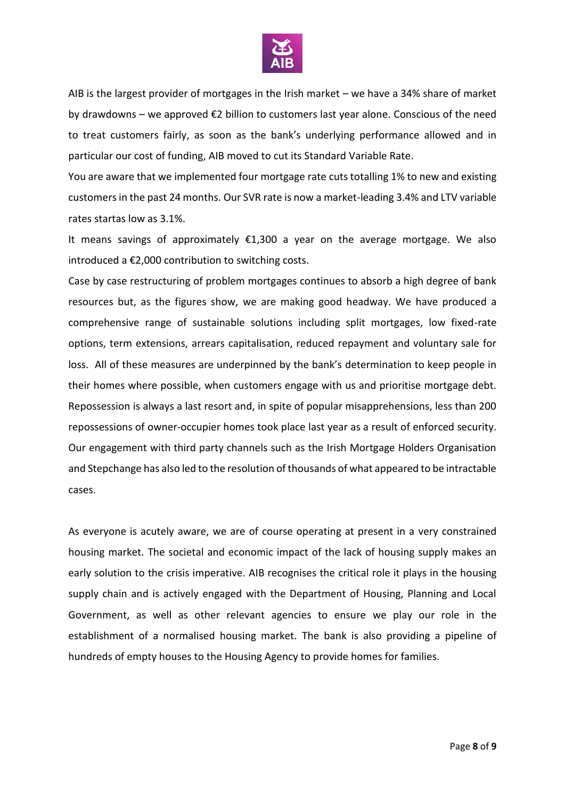

AIB is the largest provider of mortgages in the Irish market – we have a 34% share of market by drawdowns – we approved  $\epsilon$ 2 billion to customers last year alone. Conscious of the need to treat customers fairly, as soon as the bank's underlying performance allowed and in particular our cost of funding, AIB moved to cut its Standard Variable Rate.

You are aware that we implemented four mortgage rate cuts totalling 1% to new and existing customers in the past 24 months. Our SVR rate is now a market-leading 3.4% and LTV variable rates startas low as 3.1%.

It means savings of approximately €1,300 a year on the average mortgage. We also introduced a €2,000 contribution to switching costs.

Case by case restructuring of problem mortgages continues to absorb a high degree of bank resources but, as the figures show, we are making good headway. We have produced a comprehensive range of sustainable solutions including split mortgages, low fixed-rate options, term extensions, arrears capitalisation, reduced repayment and voluntary sale for loss. All of these measures are underpinned by the bank's determination to keep people in their homes where possible, when customers engage with us and prioritise mortgage debt. Repossession is always a last resort and, in spite of popular misapprehensions, less than 200 repossessions of owner-occupier homes took place last year as a result of enforced security. Our engagement with third party channels such as the Irish Mortgage Holders Organisation and Stepchange has also led to the resolution of thousands of what appeared to be intractable cases.

As everyone is acutely aware, we are of course operating at present in a very constrained housing market. The societal and economic impact of the lack of housing supply makes an early solution to the crisis imperative. AIB recognises the critical role it plays in the housing supply chain and is actively engaged with the Department of Housing, Planning and Local Government, as well as other relevant agencies to ensure we play our role in the establishment of a normalised housing market. The bank is also providing a pipeline of hundreds of empty houses to the Housing Agency to provide homes for families.